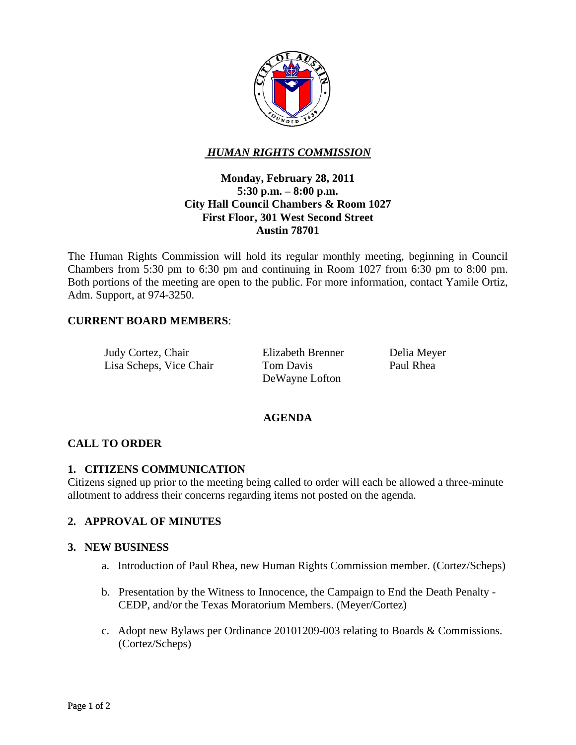

# *HUMAN RIGHTS COMMISSION*

# **Monday, February 28, 2011 5:30 p.m. – 8:00 p.m. City Hall Council Chambers & Room 1027 First Floor, 301 West Second Street Austin 78701**

The Human Rights Commission will hold its regular monthly meeting, beginning in Council Chambers from 5:30 pm to 6:30 pm and continuing in Room 1027 from 6:30 pm to 8:00 pm. Both portions of the meeting are open to the public. For more information, contact Yamile Ortiz, Adm. Support, at 974-3250.

# **CURRENT BOARD MEMBERS**:

 Judy Cortez, Chair Elizabeth Brenner Lisa Scheps, Vice Chair

Tom Davis DeWayne Lofton  Delia Meyer Paul Rhea

### **AGENDA**

### **CALL TO ORDER**

### **1. CITIZENS COMMUNICATION**

Citizens signed up prior to the meeting being called to order will each be allowed a three-minute allotment to address their concerns regarding items not posted on the agenda.

# **2. APPROVAL OF MINUTES**

#### **3. NEW BUSINESS**

- a. Introduction of Paul Rhea, new Human Rights Commission member. (Cortez/Scheps)
- b. Presentation by the Witness to Innocence, the Campaign to End the Death Penalty CEDP, and/or the Texas Moratorium Members. (Meyer/Cortez)
- c. Adopt new Bylaws per Ordinance 20101209-003 relating to Boards & Commissions. (Cortez/Scheps)